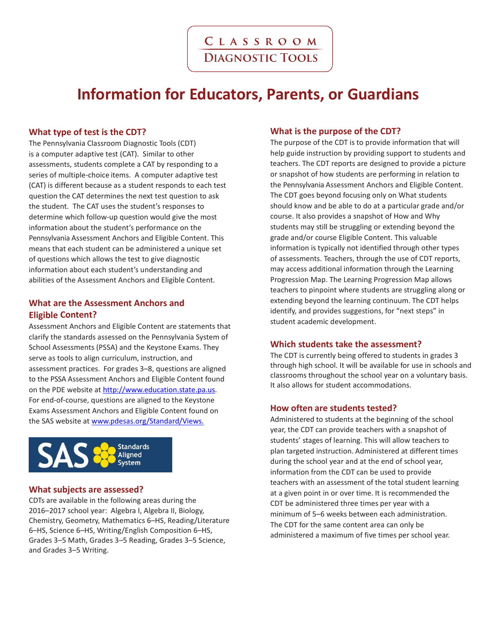# **Information for Educators, Parents, or Guardians**

# **What type of test is the CDT?**

The Pennsylvania Classroom Diagnostic Tools (CDT) is a computer adaptive test (CAT). Similar to other assessments, students complete a CAT by responding to a series of multiple-choice items. A computer adaptive test (CAT) is different because as a student responds to each test question the CAT determines the next test question to ask the student. The CAT uses the student's responses to determine which follow-up question would give the most information about the student's performance on the Pennsylvania Assessment Anchors and Eligible Content. This means that each student can be administered a unique set of questions which allows the test to give diagnostic information about each student's understanding and abilities of the Assessment Anchors and Eligible Content.

# **What are the Assessment Anchors and Eligible Content?**

Assessment Anchors and Eligible Content are statements that clarify the standards assessed on the Pennsylvania System of School Assessments (PSSA) and the Keystone Exams. They serve as tools to align curriculum, instruction, and assessment practices. For grades 3–8, questions are aligned to the PSSA Assessment Anchors and Eligible Content found on the PDE website at [http://www.education.state.pa.us.](http://www.education.state.pa.us/) For end-of-course, questions are aligned to the Keystone Exams Assessment Anchors and Eligible Content found on the SAS website at www.pdesas.org/Standard/Views.



### **What subjects are assessed?**

CDTs are available in the following areas during the 2016–2017 school year: Algebra I, Algebra II, Biology, Chemistry, Geometry, Mathematics 6–HS, Reading/Literature 6–HS, Science 6–HS, Writing/English Composition 6–HS, Grades 3–5 Math, Grades 3–5 Reading, Grades 3–5 Science, and Grades 3–5 Writing.

## **What is the purpose of the CDT?**

The purpose of the CDT is to provide information that will help guide instruction by providing support to students and teachers. The CDT reports are designed to provide a picture or snapshot of how students are performing in relation to the Pennsylvania Assessment Anchors and Eligible Content. The CDT goes beyond focusing only on What students should know and be able to do at a particular grade and/or course. It also provides a snapshot of How and Why students may still be struggling or extending beyond the grade and/or course Eligible Content. This valuable information is typically not identified through other types of assessments. Teachers, through the use of CDT reports, may access additional information through the Learning Progression Map. The Learning Progression Map allows teachers to pinpoint where students are struggling along or extending beyond the learning continuum. The CDT helps identify, and provides suggestions, for "next steps" in student academic development.

### **Which students take the assessment?**

The CDT is currently being offered to students in grades 3 through high school. It will be available for use in schools and classrooms throughout the school year on a voluntary basis. It also allows for student accommodations.

### **How often are students tested?**

Administered to students at the beginning of the school year, the CDT can provide teachers with a snapshot of students' stages of learning. This will allow teachers to plan targeted instruction. Administered at different times during the school year and at the end of school year, information from the CDT can be used to provide teachers with an assessment of the total student learning at a given point in or over time. It is recommended the CDT be administered three times per year with a minimum of 5–6 weeks between each administration. The CDT for the same content area can only be administered a maximum of five times per school year.